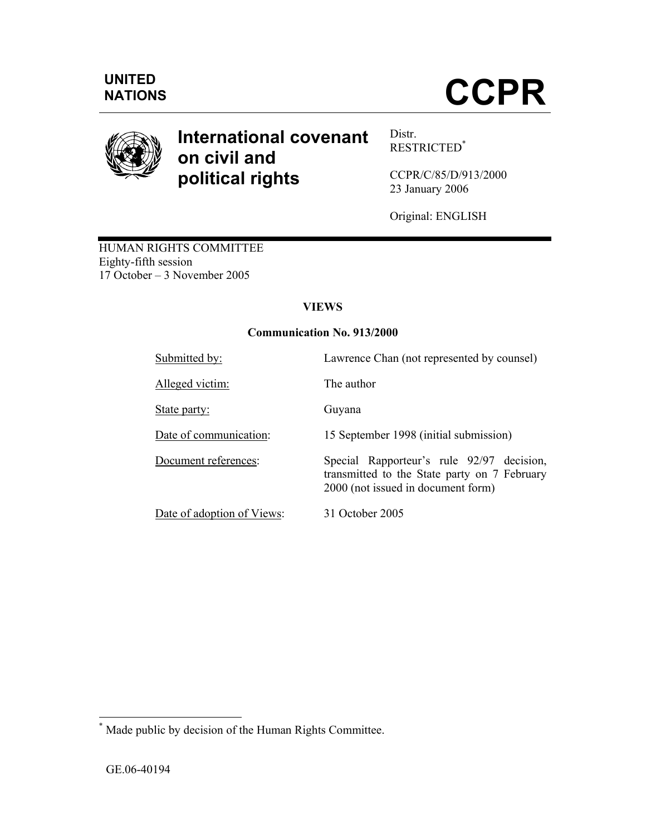

# **International covenant on civil and political rights**

Distr. RESTRICTED\*

CCPR/C/85/D/913/2000 23 January 2006

Original: ENGLISH

HUMAN RIGHTS COMMITTEE Eighty-fifth session 17 October – 3 November 2005

# **VIEWS**

# **Communication No. 913/2000**

| Submitted by:              | Lawrence Chan (not represented by counsel)                                                                                      |
|----------------------------|---------------------------------------------------------------------------------------------------------------------------------|
| Alleged victim:            | The author                                                                                                                      |
| State party:               | Guyana                                                                                                                          |
| Date of communication:     | 15 September 1998 (initial submission)                                                                                          |
| Document references:       | Special Rapporteur's rule 92/97 decision,<br>transmitted to the State party on 7 February<br>2000 (not issued in document form) |
| Date of adoption of Views: | 31 October 2005                                                                                                                 |

 \* Made public by decision of the Human Rights Committee.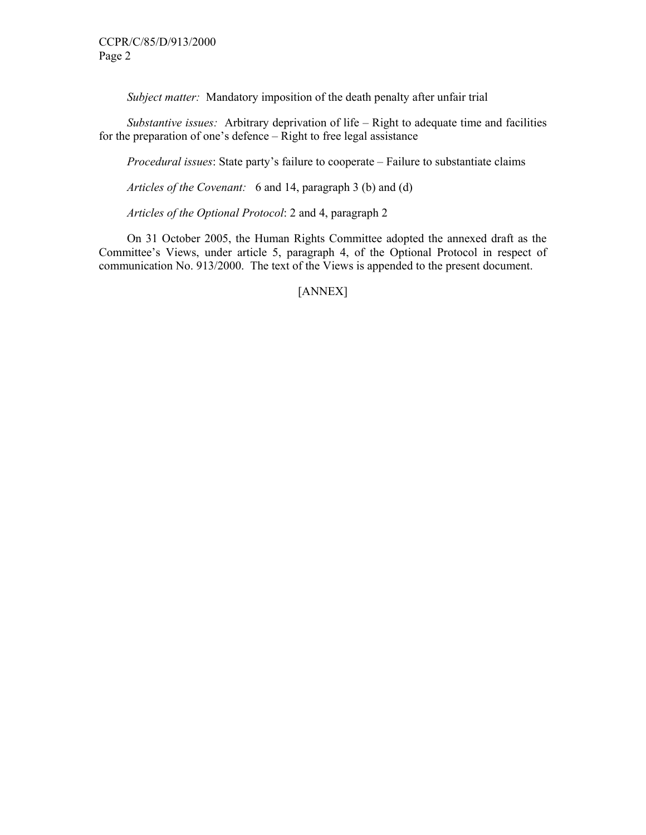*Subject matter:* Mandatory imposition of the death penalty after unfair trial

 *Substantive issues:* Arbitrary deprivation of life – Right to adequate time and facilities for the preparation of one's defence – Right to free legal assistance

 *Procedural issues*: State party's failure to cooperate – Failure to substantiate claims

 *Articles of the Covenant:* 6 and 14, paragraph 3 (b) and (d)

*Articles of the Optional Protocol*: 2 and 4, paragraph 2

 On 31 October 2005, the Human Rights Committee adopted the annexed draft as the Committee's Views, under article 5, paragraph 4, of the Optional Protocol in respect of communication No. 913/2000. The text of the Views is appended to the present document.

[ANNEX]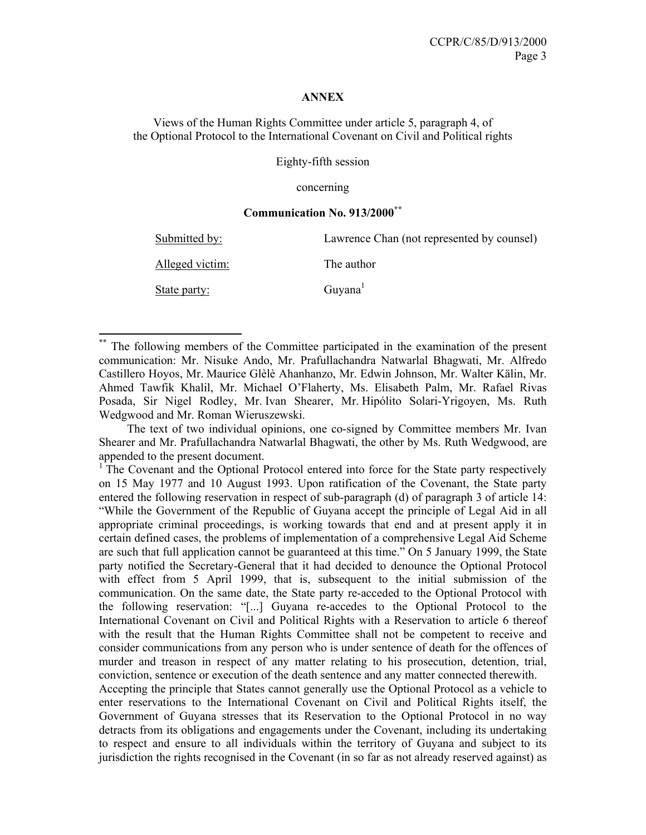#### **ANNEX**

Views of the Human Rights Committee under article 5, paragraph 4, of the Optional Protocol to the International Covenant on Civil and Political rights

Eighty-fifth session

concerning

#### **Communication No. 913/2000\*\***

| Submitted by:   | Lawrence Chan (not represented by counsel) |
|-----------------|--------------------------------------------|
| Alleged victim: | The author                                 |
| State party:    | Guyana <sup>1</sup>                        |

The following members of the Committee participated in the examination of the present communication: Mr. Nisuke Ando, Mr. Prafullachandra Natwarlal Bhagwati, Mr. Alfredo Castillero Hoyos, Mr. Maurice Glèlè Ahanhanzo, Mr. Edwin Johnson, Mr. Walter Kälin, Mr. Ahmed Tawfik Khalil, Mr. Michael O'Flaherty, Ms. Elisabeth Palm, Mr. Rafael Rivas Posada, Sir Nigel Rodley, Mr. Ivan Shearer, Mr. Hipólito Solari-Yrigoyen, Ms. Ruth Wedgwood and Mr. Roman Wieruszewski.

-

 The text of two individual opinions, one co-signed by Committee members Mr. Ivan Shearer and Mr. Prafullachandra Natwarlal Bhagwati, the other by Ms. Ruth Wedgwood, are appended to the present document.

<sup>1</sup>The Covenant and the Optional Protocol entered into force for the State party respectively on 15 May 1977 and 10 August 1993. Upon ratification of the Covenant, the State party entered the following reservation in respect of sub-paragraph (d) of paragraph 3 of article 14: "While the Government of the Republic of Guyana accept the principle of Legal Aid in all appropriate criminal proceedings, is working towards that end and at present apply it in certain defined cases, the problems of implementation of a comprehensive Legal Aid Scheme are such that full application cannot be guaranteed at this time." On 5 January 1999, the State party notified the Secretary-General that it had decided to denounce the Optional Protocol with effect from 5 April 1999, that is, subsequent to the initial submission of the communication. On the same date, the State party re-acceded to the Optional Protocol with the following reservation: "[...] Guyana re-accedes to the Optional Protocol to the International Covenant on Civil and Political Rights with a Reservation to article 6 thereof with the result that the Human Rights Committee shall not be competent to receive and consider communications from any person who is under sentence of death for the offences of murder and treason in respect of any matter relating to his prosecution, detention, trial, conviction, sentence or execution of the death sentence and any matter connected therewith.

Accepting the principle that States cannot generally use the Optional Protocol as a vehicle to enter reservations to the International Covenant on Civil and Political Rights itself, the Government of Guyana stresses that its Reservation to the Optional Protocol in no way detracts from its obligations and engagements under the Covenant, including its undertaking to respect and ensure to all individuals within the territory of Guyana and subject to its jurisdiction the rights recognised in the Covenant (in so far as not already reserved against) as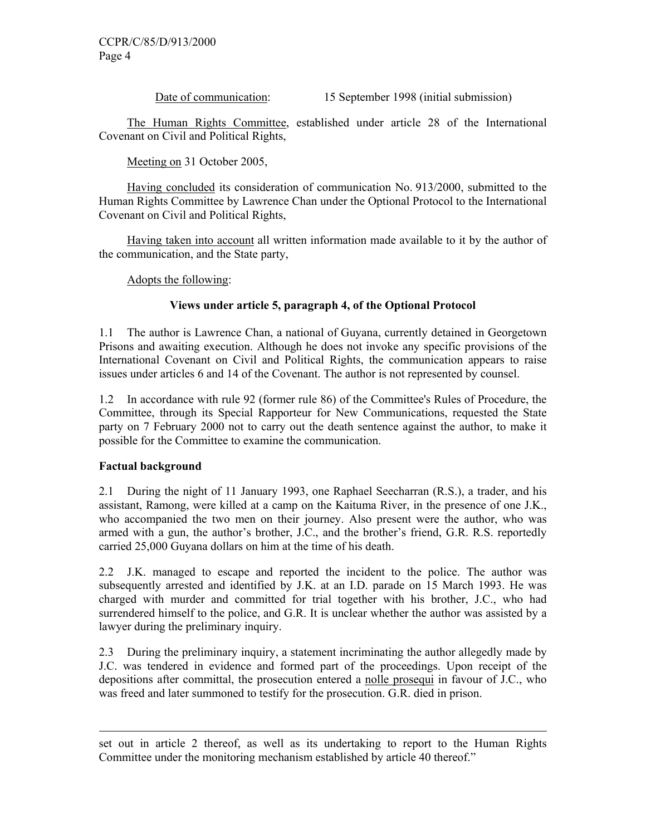Date of communication: 15 September 1998 (initial submission)

 The Human Rights Committee, established under article 28 of the International Covenant on Civil and Political Rights,

Meeting on 31 October 2005,

 Having concluded its consideration of communication No. 913/2000, submitted to the Human Rights Committee by Lawrence Chan under the Optional Protocol to the International Covenant on Civil and Political Rights,

 Having taken into account all written information made available to it by the author of the communication, and the State party,

Adopts the following:

# **Views under article 5, paragraph 4, of the Optional Protocol**

1.1 The author is Lawrence Chan, a national of Guyana, currently detained in Georgetown Prisons and awaiting execution. Although he does not invoke any specific provisions of the International Covenant on Civil and Political Rights, the communication appears to raise issues under articles 6 and 14 of the Covenant. The author is not represented by counsel.

1.2 In accordance with rule 92 (former rule 86) of the Committee's Rules of Procedure, the Committee, through its Special Rapporteur for New Communications, requested the State party on 7 February 2000 not to carry out the death sentence against the author, to make it possible for the Committee to examine the communication.

# **Factual background**

-

2.1 During the night of 11 January 1993, one Raphael Seecharran (R.S.), a trader, and his assistant, Ramong, were killed at a camp on the Kaituma River, in the presence of one J.K., who accompanied the two men on their journey. Also present were the author, who was armed with a gun, the author's brother, J.C., and the brother's friend, G.R. R.S. reportedly carried 25,000 Guyana dollars on him at the time of his death.

2.2 J.K. managed to escape and reported the incident to the police. The author was subsequently arrested and identified by J.K. at an I.D. parade on 15 March 1993. He was charged with murder and committed for trial together with his brother, J.C., who had surrendered himself to the police, and G.R. It is unclear whether the author was assisted by a lawyer during the preliminary inquiry.

2.3 During the preliminary inquiry, a statement incriminating the author allegedly made by J.C. was tendered in evidence and formed part of the proceedings. Upon receipt of the depositions after committal, the prosecution entered a nolle prosequi in favour of J.C., who was freed and later summoned to testify for the prosecution. G.R. died in prison.

set out in article 2 thereof, as well as its undertaking to report to the Human Rights Committee under the monitoring mechanism established by article 40 thereof."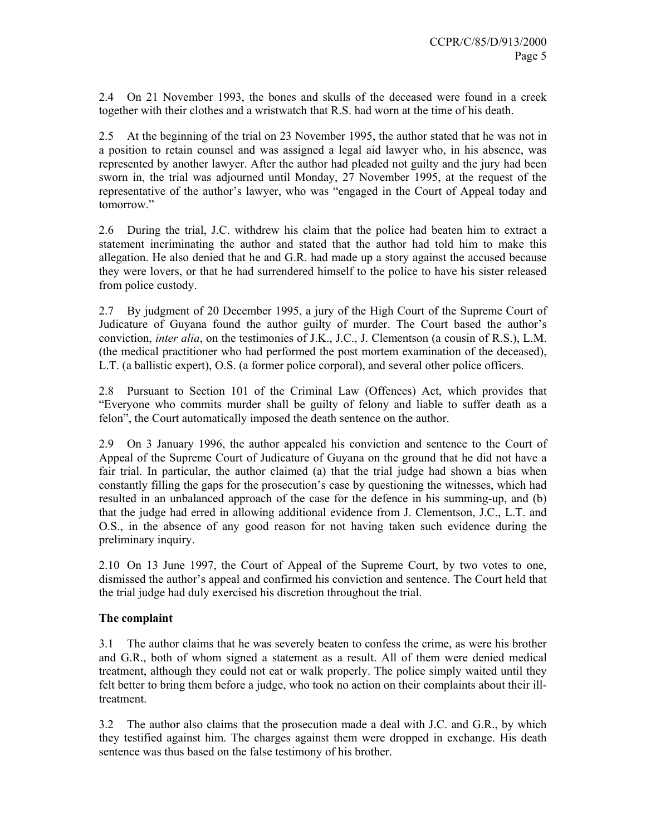2.4 On 21 November 1993, the bones and skulls of the deceased were found in a creek together with their clothes and a wristwatch that R.S. had worn at the time of his death.

2.5 At the beginning of the trial on 23 November 1995, the author stated that he was not in a position to retain counsel and was assigned a legal aid lawyer who, in his absence, was represented by another lawyer. After the author had pleaded not guilty and the jury had been sworn in, the trial was adjourned until Monday, 27 November 1995, at the request of the representative of the author's lawyer, who was "engaged in the Court of Appeal today and tomorrow."

2.6 During the trial, J.C. withdrew his claim that the police had beaten him to extract a statement incriminating the author and stated that the author had told him to make this allegation. He also denied that he and G.R. had made up a story against the accused because they were lovers, or that he had surrendered himself to the police to have his sister released from police custody.

2.7 By judgment of 20 December 1995, a jury of the High Court of the Supreme Court of Judicature of Guyana found the author guilty of murder. The Court based the author's conviction, *inter alia*, on the testimonies of J.K., J.C., J. Clementson (a cousin of R.S.), L.M. (the medical practitioner who had performed the post mortem examination of the deceased), L.T. (a ballistic expert), O.S. (a former police corporal), and several other police officers.

2.8 Pursuant to Section 101 of the Criminal Law (Offences) Act, which provides that "Everyone who commits murder shall be guilty of felony and liable to suffer death as a felon", the Court automatically imposed the death sentence on the author.

2.9 On 3 January 1996, the author appealed his conviction and sentence to the Court of Appeal of the Supreme Court of Judicature of Guyana on the ground that he did not have a fair trial. In particular, the author claimed (a) that the trial judge had shown a bias when constantly filling the gaps for the prosecution's case by questioning the witnesses, which had resulted in an unbalanced approach of the case for the defence in his summing-up, and (b) that the judge had erred in allowing additional evidence from J. Clementson, J.C., L.T. and O.S., in the absence of any good reason for not having taken such evidence during the preliminary inquiry.

2.10 On 13 June 1997, the Court of Appeal of the Supreme Court, by two votes to one, dismissed the author's appeal and confirmed his conviction and sentence. The Court held that the trial judge had duly exercised his discretion throughout the trial.

# **The complaint**

3.1 The author claims that he was severely beaten to confess the crime, as were his brother and G.R., both of whom signed a statement as a result. All of them were denied medical treatment, although they could not eat or walk properly. The police simply waited until they felt better to bring them before a judge, who took no action on their complaints about their illtreatment.

3.2 The author also claims that the prosecution made a deal with J.C. and G.R., by which they testified against him. The charges against them were dropped in exchange. His death sentence was thus based on the false testimony of his brother.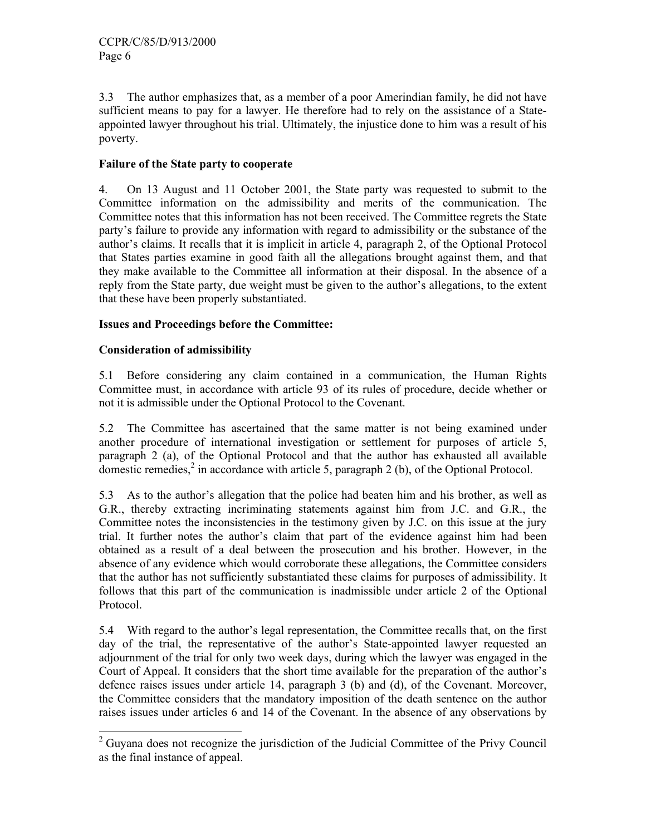3.3 The author emphasizes that, as a member of a poor Amerindian family, he did not have sufficient means to pay for a lawyer. He therefore had to rely on the assistance of a Stateappointed lawyer throughout his trial. Ultimately, the injustice done to him was a result of his poverty.

#### **Failure of the State party to cooperate**

4. On 13 August and 11 October 2001, the State party was requested to submit to the Committee information on the admissibility and merits of the communication. The Committee notes that this information has not been received. The Committee regrets the State party's failure to provide any information with regard to admissibility or the substance of the author's claims. It recalls that it is implicit in article 4, paragraph 2, of the Optional Protocol that States parties examine in good faith all the allegations brought against them, and that they make available to the Committee all information at their disposal. In the absence of a reply from the State party, due weight must be given to the author's allegations, to the extent that these have been properly substantiated.

# **Issues and Proceedings before the Committee:**

#### **Consideration of admissibility**

5.1 Before considering any claim contained in a communication, the Human Rights Committee must, in accordance with article 93 of its rules of procedure, decide whether or not it is admissible under the Optional Protocol to the Covenant.

5.2 The Committee has ascertained that the same matter is not being examined under another procedure of international investigation or settlement for purposes of article 5, paragraph 2 (a), of the Optional Protocol and that the author has exhausted all available domestic remedies, $2$  in accordance with article 5, paragraph 2 (b), of the Optional Protocol.

5.3 As to the author's allegation that the police had beaten him and his brother, as well as G.R., thereby extracting incriminating statements against him from J.C. and G.R., the Committee notes the inconsistencies in the testimony given by J.C. on this issue at the jury trial. It further notes the author's claim that part of the evidence against him had been obtained as a result of a deal between the prosecution and his brother. However, in the absence of any evidence which would corroborate these allegations, the Committee considers that the author has not sufficiently substantiated these claims for purposes of admissibility. It follows that this part of the communication is inadmissible under article 2 of the Optional Protocol.

5.4 With regard to the author's legal representation, the Committee recalls that, on the first day of the trial, the representative of the author's State-appointed lawyer requested an adjournment of the trial for only two week days, during which the lawyer was engaged in the Court of Appeal. It considers that the short time available for the preparation of the author's defence raises issues under article 14, paragraph 3 (b) and (d), of the Covenant. Moreover, the Committee considers that the mandatory imposition of the death sentence on the author raises issues under articles 6 and 14 of the Covenant. In the absence of any observations by

<sup>&</sup>lt;sup>2</sup> Guyana does not recognize the jurisdiction of the Judicial Committee of the Privy Council as the final instance of appeal.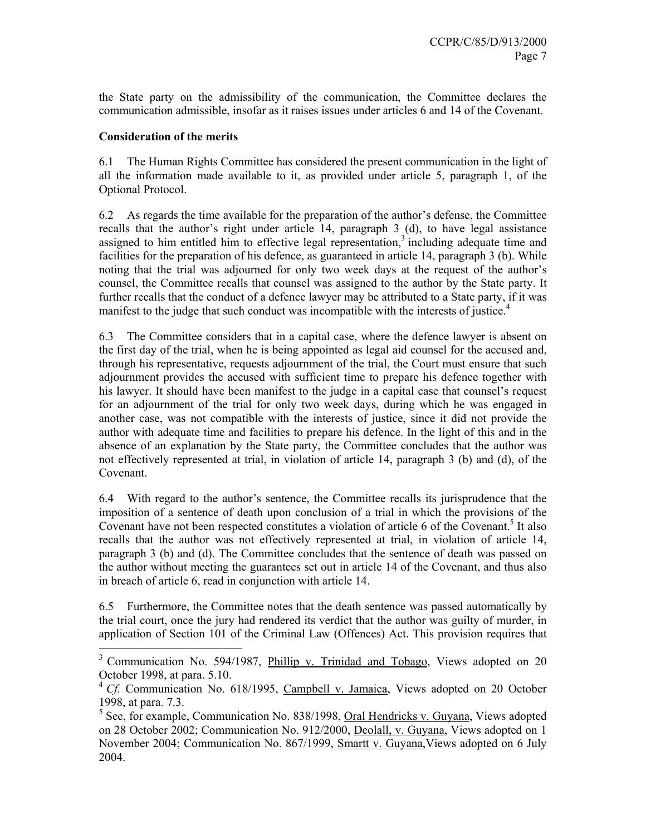the State party on the admissibility of the communication, the Committee declares the communication admissible, insofar as it raises issues under articles 6 and 14 of the Covenant.

#### **Consideration of the merits**

-

6.1 The Human Rights Committee has considered the present communication in the light of all the information made available to it, as provided under article 5, paragraph 1, of the Optional Protocol.

6.2 As regards the time available for the preparation of the author's defense, the Committee recalls that the author's right under article 14, paragraph 3 (d), to have legal assistance assigned to him entitled him to effective legal representation, $3$  including adequate time and facilities for the preparation of his defence, as guaranteed in article 14, paragraph 3 (b). While noting that the trial was adjourned for only two week days at the request of the author's counsel, the Committee recalls that counsel was assigned to the author by the State party. It further recalls that the conduct of a defence lawyer may be attributed to a State party, if it was manifest to the judge that such conduct was incompatible with the interests of justice.<sup>4</sup>

6.3 The Committee considers that in a capital case, where the defence lawyer is absent on the first day of the trial, when he is being appointed as legal aid counsel for the accused and, through his representative, requests adjournment of the trial, the Court must ensure that such adjournment provides the accused with sufficient time to prepare his defence together with his lawyer. It should have been manifest to the judge in a capital case that counsel's request for an adjournment of the trial for only two week days, during which he was engaged in another case, was not compatible with the interests of justice, since it did not provide the author with adequate time and facilities to prepare his defence. In the light of this and in the absence of an explanation by the State party, the Committee concludes that the author was not effectively represented at trial, in violation of article 14, paragraph 3 (b) and (d), of the Covenant.

6.4 With regard to the author's sentence, the Committee recalls its jurisprudence that the imposition of a sentence of death upon conclusion of a trial in which the provisions of the Covenant have not been respected constitutes a violation of article 6 of the Covenant.<sup>5</sup> It also recalls that the author was not effectively represented at trial, in violation of article 14, paragraph 3 (b) and (d). The Committee concludes that the sentence of death was passed on the author without meeting the guarantees set out in article 14 of the Covenant, and thus also in breach of article 6, read in conjunction with article 14.

6.5 Furthermore, the Committee notes that the death sentence was passed automatically by the trial court, once the jury had rendered its verdict that the author was guilty of murder, in application of Section 101 of the Criminal Law (Offences) Act. This provision requires that

<sup>&</sup>lt;sup>3</sup> Communication No. 594/1987, *Phillip v. Trinidad and Tobago*, Views adopted on 20 October 1998, at para. 5.10.

<sup>&</sup>lt;sup>4</sup> *Cf.* Communication No. 618/1995, Campbell v. Jamaica, Views adopted on 20 October 1998, at para. 7.3.

<sup>&</sup>lt;sup>5</sup> See, for example, Communication No. 838/1998, Oral Hendricks v. Guyana, Views adopted on 28 October 2002; Communication No. 912/2000, Deolall, v. Guyana, Views adopted on 1 November 2004; Communication No. 867/1999, Smartt v. Guyana,Views adopted on 6 July 2004.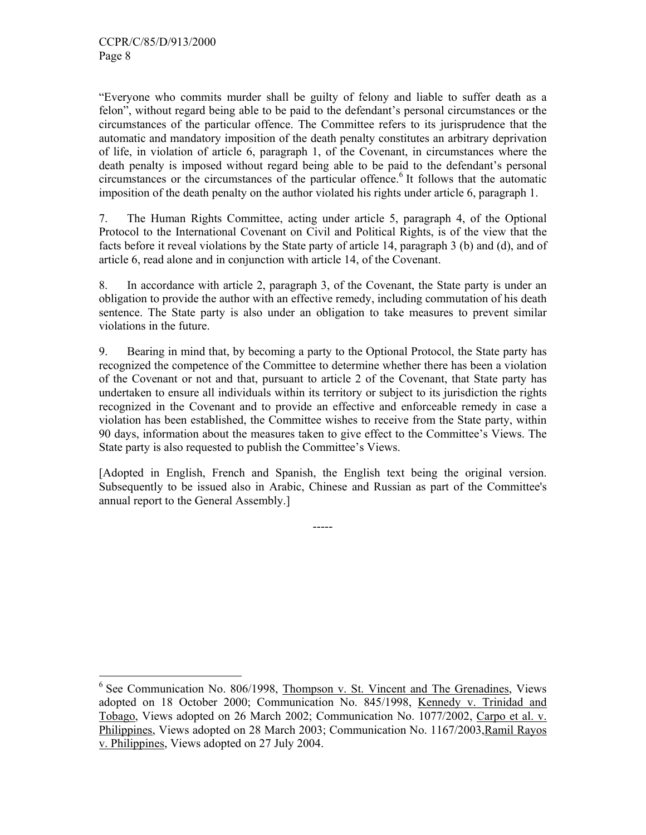-

"Everyone who commits murder shall be guilty of felony and liable to suffer death as a felon", without regard being able to be paid to the defendant's personal circumstances or the circumstances of the particular offence. The Committee refers to its jurisprudence that the automatic and mandatory imposition of the death penalty constitutes an arbitrary deprivation of life, in violation of article 6, paragraph 1, of the Covenant, in circumstances where the death penalty is imposed without regard being able to be paid to the defendant's personal circumstances or the circumstances of the particular offence.<sup>6</sup> It follows that the automatic imposition of the death penalty on the author violated his rights under article 6, paragraph 1.

7. The Human Rights Committee, acting under article 5, paragraph 4, of the Optional Protocol to the International Covenant on Civil and Political Rights, is of the view that the facts before it reveal violations by the State party of article 14, paragraph 3 (b) and (d), and of article 6, read alone and in conjunction with article 14, of the Covenant.

8. In accordance with article 2, paragraph 3, of the Covenant, the State party is under an obligation to provide the author with an effective remedy, including commutation of his death sentence. The State party is also under an obligation to take measures to prevent similar violations in the future.

9. Bearing in mind that, by becoming a party to the Optional Protocol, the State party has recognized the competence of the Committee to determine whether there has been a violation of the Covenant or not and that, pursuant to article 2 of the Covenant, that State party has undertaken to ensure all individuals within its territory or subject to its jurisdiction the rights recognized in the Covenant and to provide an effective and enforceable remedy in case a violation has been established, the Committee wishes to receive from the State party, within 90 days, information about the measures taken to give effect to the Committee's Views. The State party is also requested to publish the Committee's Views.

[Adopted in English, French and Spanish, the English text being the original version. Subsequently to be issued also in Arabic, Chinese and Russian as part of the Committee's annual report to the General Assembly.]

-----

<sup>&</sup>lt;sup>6</sup> See Communication No. 806/1998, Thompson v. St. Vincent and The Grenadines, Views adopted on 18 October 2000; Communication No. 845/1998, Kennedy v. Trinidad and Tobago, Views adopted on 26 March 2002; Communication No. 1077/2002, Carpo et al. v. Philippines, Views adopted on 28 March 2003; Communication No. 1167/2003, Ramil Rayos v. Philippines, Views adopted on 27 July 2004.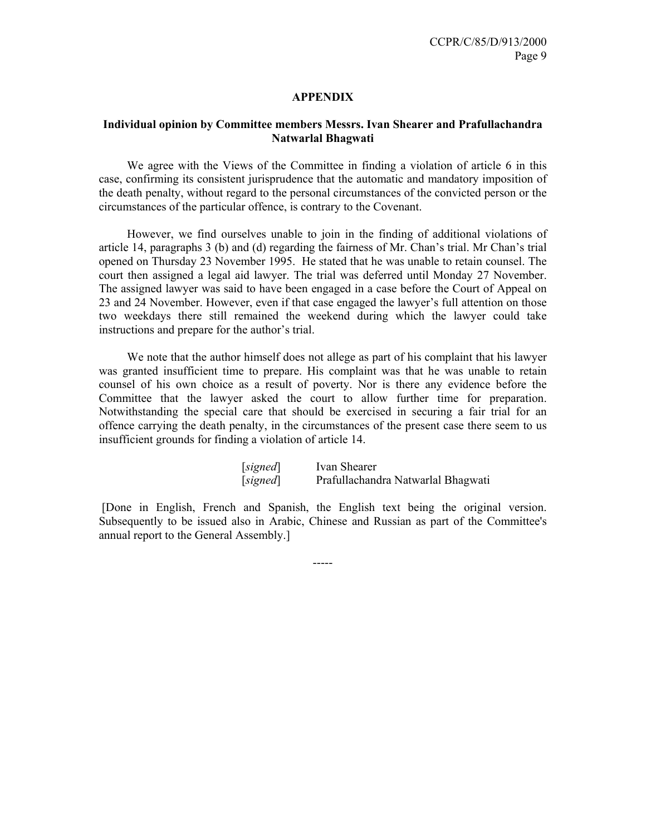#### **APPENDIX**

#### **Individual opinion by Committee members Messrs. Ivan Shearer and Prafullachandra Natwarlal Bhagwati**

 We agree with the Views of the Committee in finding a violation of article 6 in this case, confirming its consistent jurisprudence that the automatic and mandatory imposition of the death penalty, without regard to the personal circumstances of the convicted person or the circumstances of the particular offence, is contrary to the Covenant.

 However, we find ourselves unable to join in the finding of additional violations of article 14, paragraphs 3 (b) and (d) regarding the fairness of Mr. Chan's trial. Mr Chan's trial opened on Thursday 23 November 1995. He stated that he was unable to retain counsel. The court then assigned a legal aid lawyer. The trial was deferred until Monday 27 November. The assigned lawyer was said to have been engaged in a case before the Court of Appeal on 23 and 24 November. However, even if that case engaged the lawyer's full attention on those two weekdays there still remained the weekend during which the lawyer could take instructions and prepare for the author's trial.

 We note that the author himself does not allege as part of his complaint that his lawyer was granted insufficient time to prepare. His complaint was that he was unable to retain counsel of his own choice as a result of poverty. Nor is there any evidence before the Committee that the lawyer asked the court to allow further time for preparation. Notwithstanding the special care that should be exercised in securing a fair trial for an offence carrying the death penalty, in the circumstances of the present case there seem to us insufficient grounds for finding a violation of article 14.

| [signed] | Ivan Shearer                       |
|----------|------------------------------------|
| [signed] | Prafullachandra Natwarlal Bhagwati |

 [Done in English, French and Spanish, the English text being the original version. Subsequently to be issued also in Arabic, Chinese and Russian as part of the Committee's annual report to the General Assembly.]

-----